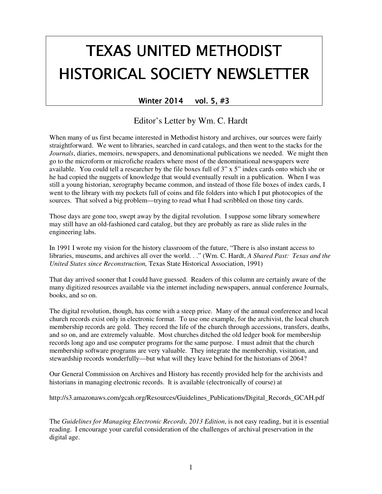# TEXAS UNITED METHODIST HISTORICAL SOCIETY NEWSLETTER

## Winter 2014 vol. 5,  $#3$

Editor's Letter by Wm. C. Hardt

When many of us first became interested in Methodist history and archives, our sources were fairly straightforward. We went to libraries, searched in card catalogs, and then went to the stacks for the *Journals*, diaries, memoirs, newspapers, and denominational publications we needed. We might then go to the microform or microfiche readers where most of the denominational newspapers were available. You could tell a researcher by the file boxes full of 3" x 5" index cards onto which she or he had copied the nuggets of knowledge that would eventually result in a publication. When I was still a young historian, xerography became common, and instead of those file boxes of index cards, I went to the library with my pockets full of coins and file folders into which I put photocopies of the sources. That solved a big problem—trying to read what I had scribbled on those tiny cards.

Those days are gone too, swept away by the digital revolution. I suppose some library somewhere may still have an old-fashioned card catalog, but they are probably as rare as slide rules in the engineering labs.

In 1991 I wrote my vision for the history classroom of the future, "There is also instant access to libraries, museums, and archives all over the world. . ." (Wm. C. Hardt, *A Shared Past: Texas and the United States since Reconstruction,* Texas State Historical Association, 1991)

That day arrived sooner that I could have guessed. Readers of this column are certainly aware of the many digitized resources available via the internet including newspapers, annual conference Journals, books, and so on.

The digital revolution, though, has come with a steep price. Many of the annual conference and local church records exist only in electronic format. To use one example, for the archivist, the local church membership records are gold. They record the life of the church through accessions, transfers, deaths, and so on, and are extremely valuable. Most churches ditched the old ledger book for membership records long ago and use computer programs for the same purpose. I must admit that the church membership software programs are very valuable. They integrate the membership, visitation, and stewardship records wonderfully—but what will they leave behind for the historians of 2064?

Our General Commission on Archives and History has recently provided help for the archivists and historians in managing electronic records. It is available (electronically of course) at

http://s3.amazonaws.com/gcah.org/Resources/Guidelines\_Publications/Digital\_Records\_GCAH.pdf

The *Guidelines for Managing Electronic Records, 2013 Edition*, is not easy reading, but it is essential reading. I encourage your careful consideration of the challenges of archival preservation in the digital age.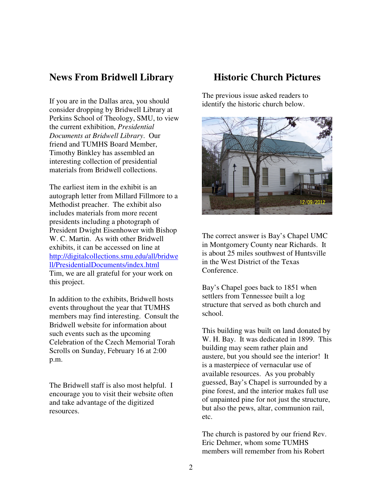## **News From Bridwell Library**

If you are in the Dallas area, you should consider dropping by Bridwell Library at Perkins School of Theology, SMU, to view the current exhibition, *Presidential Documents at Bridwell Library*. Our friend and TUMHS Board Member, Timothy Binkley has assembled an interesting collection of presidential materials from Bridwell collections.

The earliest item in the exhibit is an autograph letter from Millard Fillmore to a Methodist preacher. The exhibit also includes materials from more recent presidents including a photograph of President Dwight Eisenhower with Bishop W. C. Martin. As with other Bridwell exhibits, it can be accessed on line at http://digitalcollections.smu.edu/all/bridwe ll/PresidentialDocuments/index.html Tim, we are all grateful for your work on this project.

In addition to the exhibits, Bridwell hosts events throughout the year that TUMHS members may find interesting. Consult the Bridwell website for information about such events such as the upcoming Celebration of the Czech Memorial Torah Scrolls on Sunday, February 16 at 2:00 p.m.

The Bridwell staff is also most helpful. I encourage you to visit their website often and take advantage of the digitized resources.

## **Historic Church Pictures**

The previous issue asked readers to identify the historic church below.



The correct answer is Bay's Chapel UMC in Montgomery County near Richards. It is about 25 miles southwest of Huntsville in the West District of the Texas Conference.

Bay's Chapel goes back to 1851 when settlers from Tennessee built a log structure that served as both church and school.

This building was built on land donated by W. H. Bay. It was dedicated in 1899. This building may seem rather plain and austere, but you should see the interior! It is a masterpiece of vernacular use of available resources. As you probably guessed, Bay's Chapel is surrounded by a pine forest, and the interior makes full use of unpainted pine for not just the structure, but also the pews, altar, communion rail, etc.

The church is pastored by our friend Rev. Eric Dehmer, whom some TUMHS members will remember from his Robert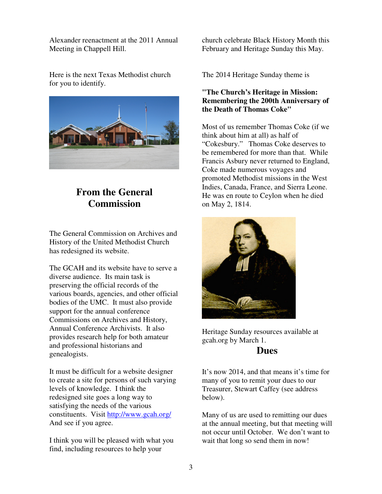Alexander reenactment at the 2011 Annual Meeting in Chappell Hill.

Here is the next Texas Methodist church for you to identify.



# **From the General Commission**

The General Commission on Archives and History of the United Methodist Church has redesigned its website.

The GCAH and its website have to serve a diverse audience. Its main task is preserving the official records of the various boards, agencies, and other official bodies of the UMC. It must also provide support for the annual conference Commissions on Archives and History, Annual Conference Archivists. It also provides research help for both amateur and professional historians and genealogists.

It must be difficult for a website designer to create a site for persons of such varying levels of knowledge. I think the redesigned site goes a long way to satisfying the needs of the various constituents. Visit http://www.gcah.org/ And see if you agree.

I think you will be pleased with what you find, including resources to help your

church celebrate Black History Month this February and Heritage Sunday this May.

The 2014 Heritage Sunday theme is

## **"The Church's Heritage in Mission: Remembering the 200th Anniversary of the Death of Thomas Coke"**

Most of us remember Thomas Coke (if we think about him at all) as half of "Cokesbury." Thomas Coke deserves to be remembered for more than that. While Francis Asbury never returned to England, Coke made numerous voyages and promoted Methodist missions in the West Indies, Canada, France, and Sierra Leone. He was en route to Ceylon when he died on May 2, 1814.



Heritage Sunday resources available at gcah.org by March 1.

## **Dues**

It's now 2014, and that means it's time for many of you to remit your dues to our Treasurer, Stewart Caffey (see address below).

Many of us are used to remitting our dues at the annual meeting, but that meeting will not occur until October. We don't want to wait that long so send them in now!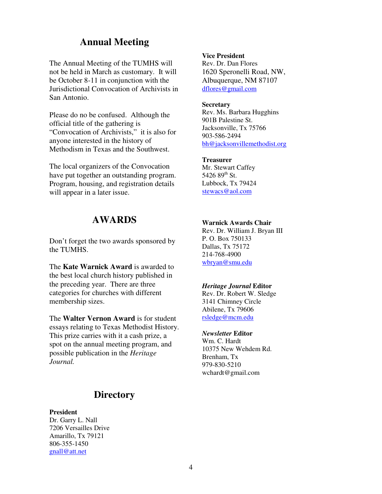## **Annual Meeting**

The Annual Meeting of the TUMHS will not be held in March as customary. It will be October 8-11 in conjunction with the Jurisdictional Convocation of Archivists in San Antonio.

Please do no be confused. Although the official title of the gathering is "Convocation of Archivists," it is also for anyone interested in the history of Methodism in Texas and the Southwest.

The local organizers of the Convocation have put together an outstanding program. Program, housing, and registration details will appear in a later issue.

## **AWARDS**

Don't forget the two awards sponsored by the TUMHS.

The **Kate Warnick Award** is awarded to the best local church history published in the preceding year. There are three categories for churches with different membership sizes.

The **Walter Vernon Award** is for student essays relating to Texas Methodist History. This prize carries with it a cash prize, a spot on the annual meeting program, and possible publication in the *Heritage Journal.* 

## **Directory**

#### **President**

Dr. Garry L. Nall 7206 Versailles Drive Amarillo, Tx 79121 806-355-1450 gnall@att.net

#### **Vice President**

Rev. Dr. Dan Flores 1620 Speronelli Road, NW, Albuquerque, NM 87107 dflores@gmail.com

#### **Secretary**

Rev. Ms. Barbara Hugghins 901B Palestine St. Jacksonville, Tx 75766 903-586-2494 bh@jacksonvillemethodist.org

#### **Treasurer**

Mr. Stewart Caffey 5426  $89^{th}$  St. Lubbock, Tx 79424 stewacs@aol.com

#### **Warnick Awards Chair**

Rev. Dr. William J. Bryan III P. O. Box 750133 Dallas, Tx 75172 214-768-4900 wbryan@smu.edu

#### *Heritage Journal* **Editor**

Rev. Dr. Robert W. Sledge 3141 Chimney Circle Abilene, Tx 79606 rsledge@mcm.edu

### *Newsletter* **Editor**

Wm. C. Hardt 10375 New Wehdem Rd. Brenham, Tx 979-830-5210 wchardt@gmail.com